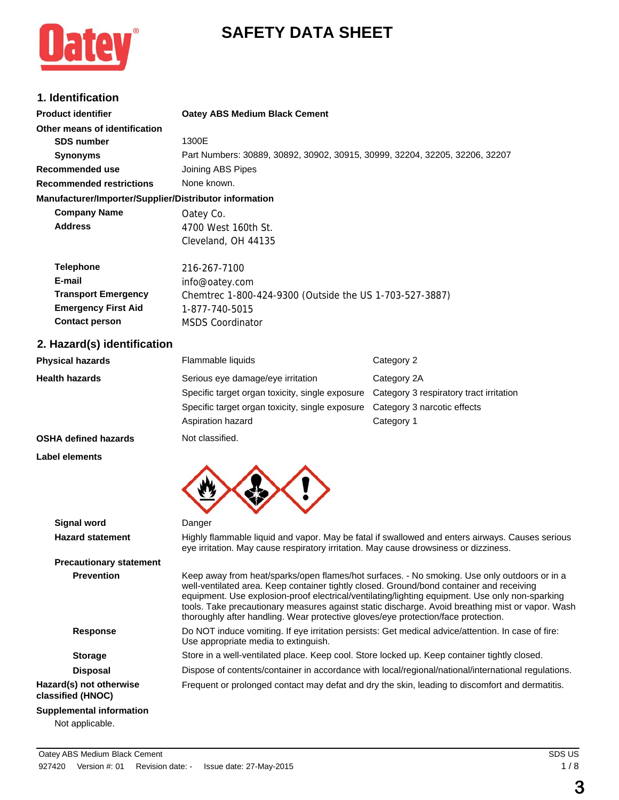# **SAFETY DATA SHEET**



# **1. Identification**

| <b>Product identifier</b>                              | <b>Oatey ABS Medium Black Cement</b>                                        |
|--------------------------------------------------------|-----------------------------------------------------------------------------|
| Other means of identification                          |                                                                             |
| <b>SDS number</b>                                      | 1300E                                                                       |
| <b>Synonyms</b>                                        | Part Numbers: 30889, 30892, 30902, 30915, 30999, 32204, 32205, 32206, 32207 |
| Recommended use                                        | Joining ABS Pipes                                                           |
| <b>Recommended restrictions</b>                        | None known.                                                                 |
| Manufacturer/Importer/Supplier/Distributor information |                                                                             |
| <b>Company Name</b>                                    | Oatey Co.                                                                   |
| <b>Address</b>                                         | 4700 West 160th St.                                                         |
|                                                        | Cleveland, OH 44135                                                         |
| <b>Telephone</b>                                       | 216-267-7100                                                                |
| E-mail                                                 | info@oatey.com                                                              |
| <b>Transport Emergency</b>                             | Chemtrec 1-800-424-9300 (Outside the US 1-703-527-3887)                     |
| <b>Emergency First Aid</b>                             | 1-877-740-5015                                                              |
| <b>Contact person</b>                                  | <b>MSDS Coordinator</b>                                                     |
| 2. Hazard(s) identification                            |                                                                             |

# **Physical hazards Flammable liquids Category 2 Health hazards** Serious eye damage/eye irritation Category 2A Specific target organ toxicity, single exposure Category 3 respiratory tract irritation Specific target organ toxicity, single exposure Category 3 narcotic effects Aspiration hazard **Category 1**

#### **OSHA defined hazards** Not classified.

**Label elements**



| <b>Signal word</b>                           | Danger                                                                                                                                                                                                                                                                                                                                                                                                                                                                               |
|----------------------------------------------|--------------------------------------------------------------------------------------------------------------------------------------------------------------------------------------------------------------------------------------------------------------------------------------------------------------------------------------------------------------------------------------------------------------------------------------------------------------------------------------|
| <b>Hazard statement</b>                      | Highly flammable liquid and vapor. May be fatal if swallowed and enters airways. Causes serious<br>eye irritation. May cause respiratory irritation. May cause drowsiness or dizziness.                                                                                                                                                                                                                                                                                              |
| <b>Precautionary statement</b>               |                                                                                                                                                                                                                                                                                                                                                                                                                                                                                      |
| <b>Prevention</b>                            | Keep away from heat/sparks/open flames/hot surfaces. - No smoking. Use only outdoors or in a<br>well-ventilated area. Keep container tightly closed. Ground/bond container and receiving<br>equipment. Use explosion-proof electrical/ventilating/lighting equipment. Use only non-sparking<br>tools. Take precautionary measures against static discharge. Avoid breathing mist or vapor. Wash<br>thoroughly after handling. Wear protective gloves/eye protection/face protection. |
| <b>Response</b>                              | Do NOT induce vomiting. If eye irritation persists: Get medical advice/attention. In case of fire:<br>Use appropriate media to extinguish.                                                                                                                                                                                                                                                                                                                                           |
| <b>Storage</b>                               | Store in a well-ventilated place. Keep cool. Store locked up. Keep container tightly closed.                                                                                                                                                                                                                                                                                                                                                                                         |
| <b>Disposal</b>                              | Dispose of contents/container in accordance with local/regional/national/international regulations.                                                                                                                                                                                                                                                                                                                                                                                  |
| Hazard(s) not otherwise<br>classified (HNOC) | Frequent or prolonged contact may defat and dry the skin, leading to discomfort and dermatitis.                                                                                                                                                                                                                                                                                                                                                                                      |
| Supplemental information                     |                                                                                                                                                                                                                                                                                                                                                                                                                                                                                      |
| Not applicable.                              |                                                                                                                                                                                                                                                                                                                                                                                                                                                                                      |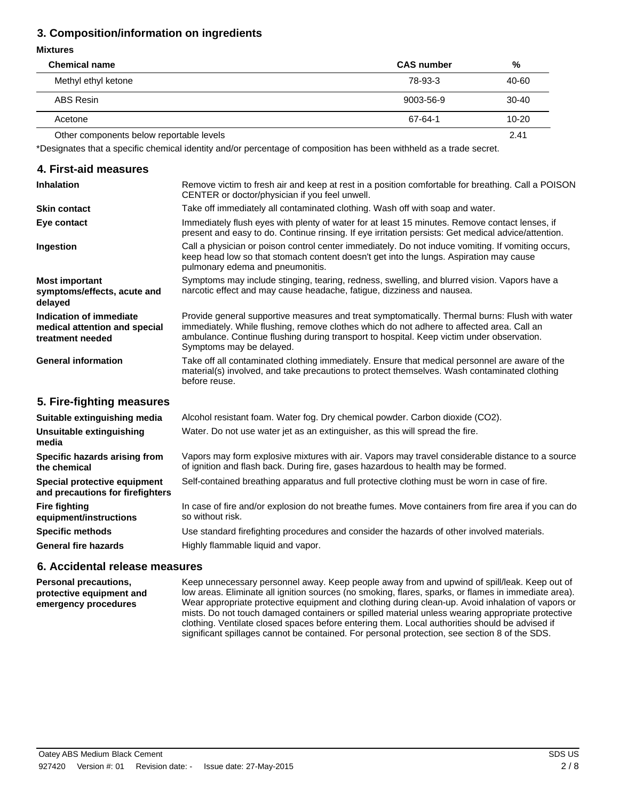# **3. Composition/information on ingredients**

#### **Mixtures**

| <b>Chemical name</b>                     | <b>CAS number</b> | %         |
|------------------------------------------|-------------------|-----------|
| Methyl ethyl ketone                      | 78-93-3           | 40-60     |
| ABS Resin                                | 9003-56-9         | $30-40$   |
| Acetone                                  | 67-64-1           | $10 - 20$ |
| Other components below reportable levels |                   | 2.41      |

\*Designates that a specific chemical identity and/or percentage of composition has been withheld as a trade secret.

# **4. First-aid measures**

| <b>Inhalation</b>                                                            | Remove victim to fresh air and keep at rest in a position comfortable for breathing. Call a POISON<br>CENTER or doctor/physician if you feel unwell.                                                                                                                                                                 |
|------------------------------------------------------------------------------|----------------------------------------------------------------------------------------------------------------------------------------------------------------------------------------------------------------------------------------------------------------------------------------------------------------------|
| <b>Skin contact</b>                                                          | Take off immediately all contaminated clothing. Wash off with soap and water.                                                                                                                                                                                                                                        |
| Eye contact                                                                  | Immediately flush eyes with plenty of water for at least 15 minutes. Remove contact lenses, if<br>present and easy to do. Continue rinsing. If eye irritation persists: Get medical advice/attention.                                                                                                                |
| Ingestion                                                                    | Call a physician or poison control center immediately. Do not induce vomiting. If vomiting occurs,<br>keep head low so that stomach content doesn't get into the lungs. Aspiration may cause<br>pulmonary edema and pneumonitis.                                                                                     |
| <b>Most important</b><br>symptoms/effects, acute and<br>delayed              | Symptoms may include stinging, tearing, redness, swelling, and blurred vision. Vapors have a<br>narcotic effect and may cause headache, fatigue, dizziness and nausea.                                                                                                                                               |
| Indication of immediate<br>medical attention and special<br>treatment needed | Provide general supportive measures and treat symptomatically. Thermal burns: Flush with water<br>immediately. While flushing, remove clothes which do not adhere to affected area. Call an<br>ambulance. Continue flushing during transport to hospital. Keep victim under observation.<br>Symptoms may be delayed. |
| <b>General information</b>                                                   | Take off all contaminated clothing immediately. Ensure that medical personnel are aware of the<br>material(s) involved, and take precautions to protect themselves. Wash contaminated clothing<br>before reuse.                                                                                                      |
| 5. Fire-fighting measures                                                    |                                                                                                                                                                                                                                                                                                                      |
| Suitable extinguishing media                                                 | Alcohol resistant foam. Water fog. Dry chemical powder. Carbon dioxide (CO2).                                                                                                                                                                                                                                        |
| Unsuitable extinguishing<br>media                                            | Water. Do not use water jet as an extinguisher, as this will spread the fire.                                                                                                                                                                                                                                        |
| Specific hazards arising from<br>the chemical                                | Vapors may form explosive mixtures with air. Vapors may travel considerable distance to a source<br>of ignition and flash back. During fire, gases hazardous to health may be formed.                                                                                                                                |
| Special protective equipment<br>and precautions for firefighters             | Self-contained breathing apparatus and full protective clothing must be worn in case of fire.                                                                                                                                                                                                                        |
| <b>Fire fighting</b><br>equipment/instructions                               | In case of fire and/or explosion do not breathe fumes. Move containers from fire area if you can do<br>so without risk.                                                                                                                                                                                              |
| <b>Specific methods</b>                                                      | Use standard firefighting procedures and consider the hazards of other involved materials.                                                                                                                                                                                                                           |
| <b>General fire hazards</b>                                                  | Highly flammable liquid and vapor.                                                                                                                                                                                                                                                                                   |
|                                                                              |                                                                                                                                                                                                                                                                                                                      |

#### **6. Accidental release measures**

Keep unnecessary personnel away. Keep people away from and upwind of spill/leak. Keep out of low areas. Eliminate all ignition sources (no smoking, flares, sparks, or flames in immediate area). Wear appropriate protective equipment and clothing during clean-up. Avoid inhalation of vapors or mists. Do not touch damaged containers or spilled material unless wearing appropriate protective clothing. Ventilate closed spaces before entering them. Local authorities should be advised if significant spillages cannot be contained. For personal protection, see section 8 of the SDS. **Personal precautions, protective equipment and emergency procedures**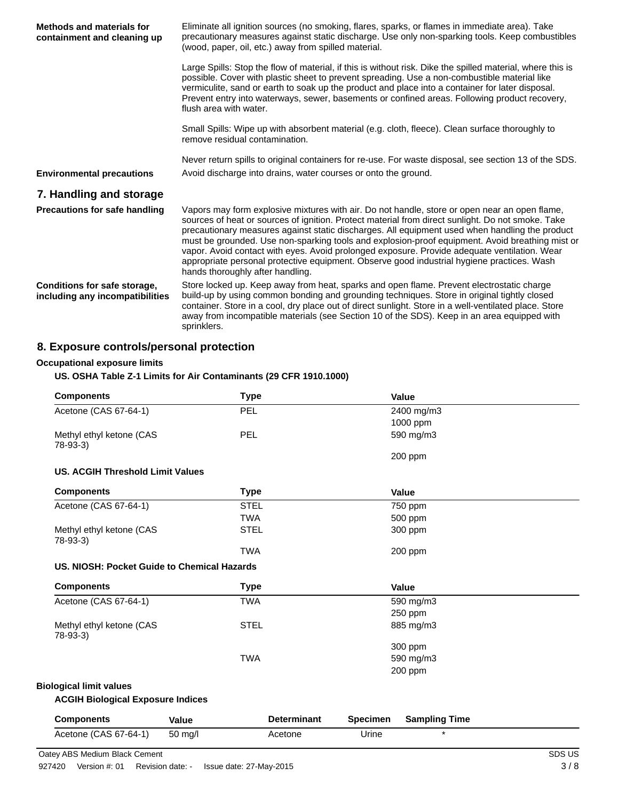| <b>Methods and materials for</b><br>containment and cleaning up | Eliminate all ignition sources (no smoking, flares, sparks, or flames in immediate area). Take<br>precautionary measures against static discharge. Use only non-sparking tools. Keep combustibles<br>(wood, paper, oil, etc.) away from spilled material.                                                                                                                                                                                                                                                                                                                                                                                 |
|-----------------------------------------------------------------|-------------------------------------------------------------------------------------------------------------------------------------------------------------------------------------------------------------------------------------------------------------------------------------------------------------------------------------------------------------------------------------------------------------------------------------------------------------------------------------------------------------------------------------------------------------------------------------------------------------------------------------------|
|                                                                 | Large Spills: Stop the flow of material, if this is without risk. Dike the spilled material, where this is<br>possible. Cover with plastic sheet to prevent spreading. Use a non-combustible material like<br>vermiculite, sand or earth to soak up the product and place into a container for later disposal.<br>Prevent entry into waterways, sewer, basements or confined areas. Following product recovery,<br>flush area with water.                                                                                                                                                                                                 |
|                                                                 | Small Spills: Wipe up with absorbent material (e.g. cloth, fleece). Clean surface thoroughly to<br>remove residual contamination.                                                                                                                                                                                                                                                                                                                                                                                                                                                                                                         |
|                                                                 | Never return spills to original containers for re-use. For waste disposal, see section 13 of the SDS.                                                                                                                                                                                                                                                                                                                                                                                                                                                                                                                                     |
| <b>Environmental precautions</b>                                | Avoid discharge into drains, water courses or onto the ground.                                                                                                                                                                                                                                                                                                                                                                                                                                                                                                                                                                            |
| 7. Handling and storage                                         |                                                                                                                                                                                                                                                                                                                                                                                                                                                                                                                                                                                                                                           |
| <b>Precautions for safe handling</b>                            | Vapors may form explosive mixtures with air. Do not handle, store or open near an open flame,<br>sources of heat or sources of ignition. Protect material from direct sunlight. Do not smoke. Take<br>precautionary measures against static discharges. All equipment used when handling the product<br>must be grounded. Use non-sparking tools and explosion-proof equipment. Avoid breathing mist or<br>vapor. Avoid contact with eyes. Avoid prolonged exposure. Provide adequate ventilation. Wear<br>appropriate personal protective equipment. Observe good industrial hygiene practices. Wash<br>hands thoroughly after handling. |
| Conditions for safe storage,<br>including any incompatibilities | Store locked up. Keep away from heat, sparks and open flame. Prevent electrostatic charge<br>build-up by using common bonding and grounding techniques. Store in original tightly closed<br>container. Store in a cool, dry place out of direct sunlight. Store in a well-ventilated place. Store<br>away from incompatible materials (see Section 10 of the SDS). Keep in an area equipped with<br>sprinklers.                                                                                                                                                                                                                           |

# **8. Exposure controls/personal protection**

## **Occupational exposure limits**

#### **US. OSHA Table Z-1 Limits for Air Contaminants (29 CFR 1910.1000)**

| <b>Components</b>                           |            | <b>Type</b>        |                 | Value                |  |
|---------------------------------------------|------------|--------------------|-----------------|----------------------|--|
| Acetone (CAS 67-64-1)                       | <b>PEL</b> |                    |                 | 2400 mg/m3           |  |
|                                             |            |                    |                 | 1000 ppm             |  |
| Methyl ethyl ketone (CAS<br>$78-93-3$       | <b>PEL</b> |                    |                 | 590 mg/m3            |  |
|                                             |            |                    |                 | 200 ppm              |  |
| <b>US. ACGIH Threshold Limit Values</b>     |            |                    |                 |                      |  |
| <b>Components</b>                           |            | <b>Type</b>        |                 | <b>Value</b>         |  |
| Acetone (CAS 67-64-1)                       |            | <b>STEL</b>        |                 | 750 ppm              |  |
|                                             |            | <b>TWA</b>         |                 | 500 ppm              |  |
| Methyl ethyl ketone (CAS<br>$78-93-3$       |            | <b>STEL</b>        |                 | 300 ppm              |  |
|                                             |            | <b>TWA</b>         |                 | 200 ppm              |  |
| US. NIOSH: Pocket Guide to Chemical Hazards |            |                    |                 |                      |  |
| <b>Components</b>                           |            | <b>Type</b>        |                 | <b>Value</b>         |  |
| Acetone (CAS 67-64-1)                       |            | <b>TWA</b>         |                 | 590 mg/m3            |  |
|                                             |            |                    |                 | 250 ppm              |  |
| Methyl ethyl ketone (CAS<br>$78-93-3$       |            | <b>STEL</b>        |                 | 885 mg/m3            |  |
|                                             |            |                    |                 | 300 ppm              |  |
|                                             |            | <b>TWA</b>         |                 | 590 mg/m3            |  |
|                                             |            |                    |                 | 200 ppm              |  |
| <b>Biological limit values</b>              |            |                    |                 |                      |  |
| <b>ACGIH Biological Exposure Indices</b>    |            |                    |                 |                      |  |
| <b>Components</b>                           | Value      | <b>Determinant</b> | <b>Specimen</b> | <b>Sampling Time</b> |  |
| Acetone (CAS 67-64-1)                       | 50 mg/l    | Acetone            | Urine           | $\star$              |  |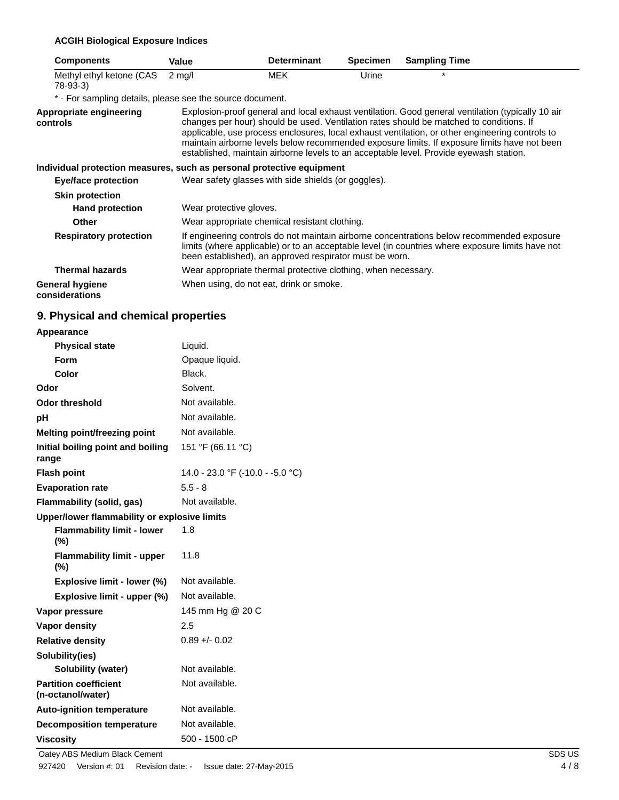#### **ACGIH Biological Exposure Indices**

| <b>Components</b>                                                     | Value                   | <b>Determinant</b>                                            | <b>Specimen</b> | <b>Sampling Time</b>                                                                                                                                                                                                                                                                                                                                                                                                                                                                      |
|-----------------------------------------------------------------------|-------------------------|---------------------------------------------------------------|-----------------|-------------------------------------------------------------------------------------------------------------------------------------------------------------------------------------------------------------------------------------------------------------------------------------------------------------------------------------------------------------------------------------------------------------------------------------------------------------------------------------------|
| Methyl ethyl ketone (CAS<br>78-93-3)                                  | $2 \text{ mq/l}$        | MEK                                                           | Urine           | $\star$                                                                                                                                                                                                                                                                                                                                                                                                                                                                                   |
| * - For sampling details, please see the source document.             |                         |                                                               |                 |                                                                                                                                                                                                                                                                                                                                                                                                                                                                                           |
| Appropriate engineering<br>controls                                   |                         |                                                               |                 | Explosion-proof general and local exhaust ventilation. Good general ventilation (typically 10 air<br>changes per hour) should be used. Ventilation rates should be matched to conditions. If<br>applicable, use process enclosures, local exhaust ventilation, or other engineering controls to<br>maintain airborne levels below recommended exposure limits. If exposure limits have not been<br>established, maintain airborne levels to an acceptable level. Provide eyewash station. |
| Individual protection measures, such as personal protective equipment |                         |                                                               |                 |                                                                                                                                                                                                                                                                                                                                                                                                                                                                                           |
| Eye/face protection                                                   |                         | Wear safety glasses with side shields (or goggles).           |                 |                                                                                                                                                                                                                                                                                                                                                                                                                                                                                           |
| <b>Skin protection</b>                                                |                         |                                                               |                 |                                                                                                                                                                                                                                                                                                                                                                                                                                                                                           |
| <b>Hand protection</b>                                                | Wear protective gloves. |                                                               |                 |                                                                                                                                                                                                                                                                                                                                                                                                                                                                                           |
| Other                                                                 |                         | Wear appropriate chemical resistant clothing.                 |                 |                                                                                                                                                                                                                                                                                                                                                                                                                                                                                           |
| <b>Respiratory protection</b>                                         |                         | been established), an approved respirator must be worn.       |                 | If engineering controls do not maintain airborne concentrations below recommended exposure<br>limits (where applicable) or to an acceptable level (in countries where exposure limits have not                                                                                                                                                                                                                                                                                            |
| <b>Thermal hazards</b>                                                |                         | Wear appropriate thermal protective clothing, when necessary. |                 |                                                                                                                                                                                                                                                                                                                                                                                                                                                                                           |
| <b>General hygiene</b><br>considerations                              |                         | When using, do not eat, drink or smoke.                       |                 |                                                                                                                                                                                                                                                                                                                                                                                                                                                                                           |

# **9. Physical and chemical properties**

| <b>Appearance</b> |  |
|-------------------|--|
|-------------------|--|

| <b>Physical state</b>                             | Liquid.                          |
|---------------------------------------------------|----------------------------------|
| <b>Form</b>                                       | Opaque liquid.                   |
| Color                                             | Black.                           |
| Odor                                              | Solvent.                         |
| <b>Odor threshold</b>                             | Not available.                   |
| рH                                                | Not available.                   |
| <b>Melting point/freezing point</b>               | Not available.                   |
| Initial boiling point and boiling<br>range        | 151 °F (66.11 °C)                |
| <b>Flash point</b>                                | 14.0 - 23.0 °F (-10.0 - -5.0 °C) |
| <b>Evaporation rate</b>                           | $5.5 - 8$                        |
| Flammability (solid, gas)                         | Not available.                   |
| Upper/lower flammability or explosive limits      |                                  |
| <b>Flammability limit - lower</b><br>(%)          | 1.8                              |
| <b>Flammability limit - upper</b><br>$(\%)$       | 11.8                             |
| Explosive limit - lower (%)                       | Not available.                   |
| Explosive limit - upper (%)                       | Not available.                   |
| Vapor pressure                                    | 145 mm Hg @ 20 C                 |
| <b>Vapor density</b>                              | 2.5                              |
| <b>Relative density</b>                           | $0.89 + 0.02$                    |
| Solubility(ies)                                   |                                  |
| <b>Solubility (water)</b>                         | Not available.                   |
| <b>Partition coefficient</b><br>(n-octanol/water) | Not available.                   |
| <b>Auto-ignition temperature</b>                  | Not available.                   |
| <b>Decomposition temperature</b>                  | Not available.                   |
| <b>Viscosity</b>                                  | 500 - 1500 cP                    |

Oatey ABS Medium Black Cement SDS US 927420 Version #: 01 Revision date: - Issue date: 27-May-2015 4/8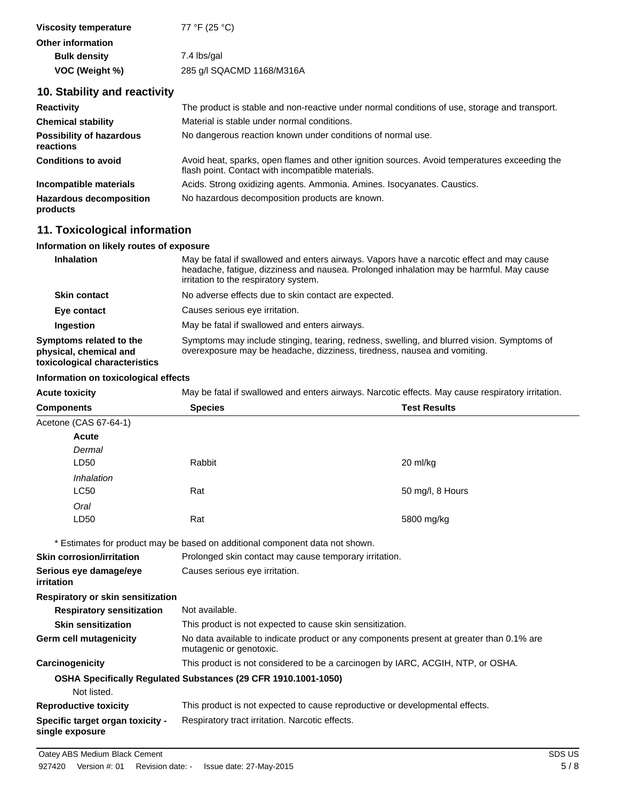| Viscosity temperature    | 77 °F (25 °C)             |
|--------------------------|---------------------------|
| <b>Other information</b> |                           |
| <b>Bulk density</b>      | 7.4 lbs/gal               |
| VOC (Weight %)           | 285 g/l SQACMD 1168/M316A |

#### **10. Stability and reactivity**

| <b>Reactivity</b>                            | The product is stable and non-reactive under normal conditions of use, storage and transport.                                                     |
|----------------------------------------------|---------------------------------------------------------------------------------------------------------------------------------------------------|
| <b>Chemical stability</b>                    | Material is stable under normal conditions.                                                                                                       |
| <b>Possibility of hazardous</b><br>reactions | No dangerous reaction known under conditions of normal use.                                                                                       |
| <b>Conditions to avoid</b>                   | Avoid heat, sparks, open flames and other ignition sources. Avoid temperatures exceeding the<br>flash point. Contact with incompatible materials. |
| Incompatible materials                       | Acids. Strong oxidizing agents. Ammonia. Amines. Isocyanates. Caustics.                                                                           |
| <b>Hazardous decomposition</b><br>products   | No hazardous decomposition products are known.                                                                                                    |

#### **11. Toxicological information**

#### **Information on likely routes of exposure**

| <b>Inhalation</b>                                                                  | May be fatal if swallowed and enters airways. Vapors have a narcotic effect and may cause<br>headache, fatigue, dizziness and nausea. Prolonged inhalation may be harmful. May cause<br>irritation to the respiratory system. |
|------------------------------------------------------------------------------------|-------------------------------------------------------------------------------------------------------------------------------------------------------------------------------------------------------------------------------|
| <b>Skin contact</b>                                                                | No adverse effects due to skin contact are expected.                                                                                                                                                                          |
| Eye contact                                                                        | Causes serious eye irritation.                                                                                                                                                                                                |
| Ingestion                                                                          | May be fatal if swallowed and enters airways.                                                                                                                                                                                 |
| Symptoms related to the<br>physical, chemical and<br>toxicological characteristics | Symptoms may include stinging, tearing, redness, swelling, and blurred vision. Symptoms of<br>overexposure may be headache, dizziness, tiredness, nausea and vomiting.                                                        |

#### **Information on toxicological effects**

**Acute toxicity** May be fatal if swallowed and enters airways. Narcotic effects. May cause respiratory irritation. **Components Species Test Results** Acetone (CAS 67-64-1) LD50 Rabbit *Dermal* **Acute** 20 ml/kg LC50 Rat *Inhalation* 50 mg/l, 8 Hours LD50 Rat *Oral* 5800 mg/kg \* Estimates for product may be based on additional component data not shown. **Skin corrosion/irritation** Prolonged skin contact may cause temporary irritation. **Serious eye damage/eye** Causes serious eye irritation. **irritation Respiratory or skin sensitization Respiratory sensitization** Not available. **Skin sensitization** This product is not expected to cause skin sensitization. No data available to indicate product or any components present at greater than 0.1% are mutagenic or genotoxic. **Germ cell mutagenicity Carcinogenicity** This product is not considered to be a carcinogen by IARC, ACGIH, NTP, or OSHA. **OSHA Specifically Regulated Substances (29 CFR 1910.1001-1050)** Not listed. **Reproductive toxicity** This product is not expected to cause reproductive or developmental effects. **Specific target organ toxicity single exposure** Respiratory tract irritation. Narcotic effects.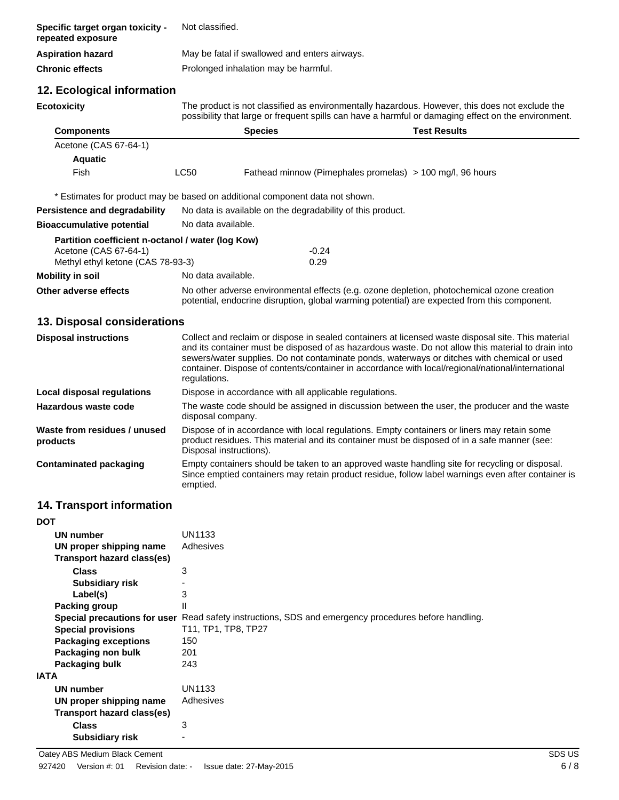| Specific target organ toxicity -<br>repeated exposure | Not classified.                                                                                                                                                                                       |
|-------------------------------------------------------|-------------------------------------------------------------------------------------------------------------------------------------------------------------------------------------------------------|
| <b>Aspiration hazard</b>                              | May be fatal if swallowed and enters airways.                                                                                                                                                         |
| <b>Chronic effects</b>                                | Prolonged inhalation may be harmful.                                                                                                                                                                  |
| 12. Ecological information                            |                                                                                                                                                                                                       |
| <b>Ecotoxicity</b>                                    | The product is not classified as environmentally hazardous. However, this does not exclude the<br>possibility that large or frequent spills can have a harmful or damaging effect on the environment. |

| <b>Components</b>                                                            |                    | <b>Species</b>                                             | <b>Test Results</b>                                                                        |
|------------------------------------------------------------------------------|--------------------|------------------------------------------------------------|--------------------------------------------------------------------------------------------|
| Acetone (CAS 67-64-1)                                                        |                    |                                                            |                                                                                            |
| <b>Aquatic</b>                                                               |                    |                                                            |                                                                                            |
| Fish                                                                         | LC50               |                                                            | Fathead minnow (Pimephales promelas) > 100 mg/l, 96 hours                                  |
| * Estimates for product may be based on additional component data not shown. |                    |                                                            |                                                                                            |
| <b>Persistence and degradability</b>                                         |                    | No data is available on the degradability of this product. |                                                                                            |
| <b>Bioaccumulative potential</b>                                             | No data available. |                                                            |                                                                                            |
| Partition coefficient n-octanol / water (log Kow)                            |                    |                                                            |                                                                                            |
| Acetone (CAS 67-64-1)                                                        |                    | $-0.24$                                                    |                                                                                            |
| Methyl ethyl ketone (CAS 78-93-3)                                            |                    | 0.29                                                       |                                                                                            |
| Mobility in soil                                                             | No data available. |                                                            |                                                                                            |
| Other adverse effects                                                        |                    |                                                            | No other adverse environmental effects (e.g. ozone depletion, photochemical ozone creation |

potential, endocrine disruption, global warming potential) are expected from this component.

## **13. Disposal considerations**

| <b>Disposal instructions</b>             | Collect and reclaim or dispose in sealed containers at licensed waste disposal site. This material<br>and its container must be disposed of as hazardous waste. Do not allow this material to drain into<br>sewers/water supplies. Do not contaminate ponds, waterways or ditches with chemical or used<br>container. Dispose of contents/container in accordance with local/regional/national/international<br>regulations. |
|------------------------------------------|------------------------------------------------------------------------------------------------------------------------------------------------------------------------------------------------------------------------------------------------------------------------------------------------------------------------------------------------------------------------------------------------------------------------------|
| Local disposal regulations               | Dispose in accordance with all applicable regulations.                                                                                                                                                                                                                                                                                                                                                                       |
| Hazardous waste code                     | The waste code should be assigned in discussion between the user, the producer and the waste<br>disposal company.                                                                                                                                                                                                                                                                                                            |
| Waste from residues / unused<br>products | Dispose of in accordance with local regulations. Empty containers or liners may retain some<br>product residues. This material and its container must be disposed of in a safe manner (see:<br>Disposal instructions).                                                                                                                                                                                                       |
| <b>Contaminated packaging</b>            | Empty containers should be taken to an approved waste handling site for recycling or disposal.<br>Since emptied containers may retain product residue, follow label warnings even after container is<br>emptied.                                                                                                                                                                                                             |

## **14. Transport information**

| <b>DOT</b>                  |                                                                                                      |
|-----------------------------|------------------------------------------------------------------------------------------------------|
| UN number                   | UN1133                                                                                               |
| UN proper shipping name     | Adhesives                                                                                            |
| Transport hazard class(es)  |                                                                                                      |
| <b>Class</b>                | 3                                                                                                    |
| <b>Subsidiary risk</b>      |                                                                                                      |
| Label(s)                    | 3                                                                                                    |
| Packing group               | $\mathsf{II}$                                                                                        |
|                             | Special precautions for user Read safety instructions, SDS and emergency procedures before handling. |
| <b>Special provisions</b>   | T11, TP1, TP8, TP27                                                                                  |
| <b>Packaging exceptions</b> | 150                                                                                                  |
| Packaging non bulk          | 201                                                                                                  |
| Packaging bulk              | 243                                                                                                  |
| IATA                        |                                                                                                      |
| <b>UN number</b>            | UN1133                                                                                               |
| UN proper shipping name     | Adhesives                                                                                            |
| Transport hazard class(es)  |                                                                                                      |
| <b>Class</b>                | 3                                                                                                    |
| Subsidiary risk             |                                                                                                      |
|                             |                                                                                                      |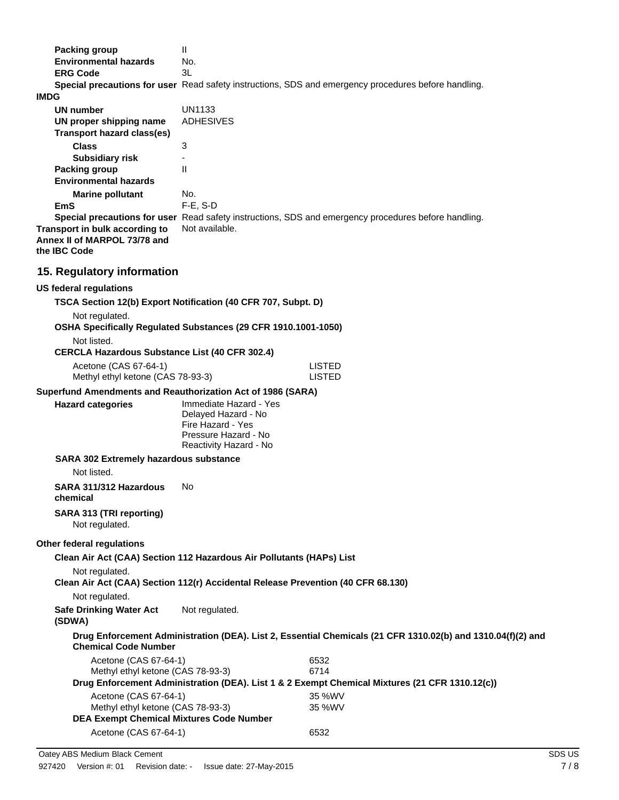|             | <b>Packing group</b>                                                 | $\mathbf{I}$                                                                               |                                                                                                             |
|-------------|----------------------------------------------------------------------|--------------------------------------------------------------------------------------------|-------------------------------------------------------------------------------------------------------------|
|             | <b>Environmental hazards</b>                                         | No.                                                                                        |                                                                                                             |
|             | <b>ERG Code</b>                                                      | 3L                                                                                         |                                                                                                             |
| <b>IMDG</b> |                                                                      |                                                                                            | Special precautions for user Read safety instructions, SDS and emergency procedures before handling.        |
|             | <b>UN number</b>                                                     | <b>UN1133</b>                                                                              |                                                                                                             |
|             | UN proper shipping name<br><b>Transport hazard class(es)</b>         | <b>ADHESIVES</b>                                                                           |                                                                                                             |
|             | <b>Class</b>                                                         | 3                                                                                          |                                                                                                             |
|             | <b>Subsidiary risk</b>                                               | $\mathsf{II}$                                                                              |                                                                                                             |
|             | <b>Packing group</b><br><b>Environmental hazards</b>                 |                                                                                            |                                                                                                             |
|             | <b>Marine pollutant</b>                                              | No.                                                                                        |                                                                                                             |
|             | <b>EmS</b>                                                           | $F-E$ , S-D                                                                                |                                                                                                             |
|             | Transport in bulk according to<br>Annex II of MARPOL 73/78 and       | Not available.                                                                             | Special precautions for user Read safety instructions, SDS and emergency procedures before handling.        |
|             | the IBC Code                                                         |                                                                                            |                                                                                                             |
|             | 15. Regulatory information                                           |                                                                                            |                                                                                                             |
|             | <b>US federal regulations</b>                                        |                                                                                            |                                                                                                             |
|             |                                                                      | TSCA Section 12(b) Export Notification (40 CFR 707, Subpt. D)                              |                                                                                                             |
|             | Not regulated.                                                       |                                                                                            |                                                                                                             |
|             |                                                                      | OSHA Specifically Regulated Substances (29 CFR 1910.1001-1050)                             |                                                                                                             |
|             | Not listed.<br><b>CERCLA Hazardous Substance List (40 CFR 302.4)</b> |                                                                                            |                                                                                                             |
|             | Acetone (CAS 67-64-1)                                                |                                                                                            | <b>LISTED</b>                                                                                               |
|             | Methyl ethyl ketone (CAS 78-93-3)                                    |                                                                                            | <b>LISTED</b>                                                                                               |
|             |                                                                      | Superfund Amendments and Reauthorization Act of 1986 (SARA)                                |                                                                                                             |
|             | <b>Hazard categories</b>                                             | Immediate Hazard - Yes<br>Delayed Hazard - No<br>Fire Hazard - Yes<br>Pressure Hazard - No |                                                                                                             |
|             |                                                                      | Reactivity Hazard - No                                                                     |                                                                                                             |
|             | <b>SARA 302 Extremely hazardous substance</b><br>Not listed.         |                                                                                            |                                                                                                             |
|             | SARA 311/312 Hazardous<br>chemical                                   | No.                                                                                        |                                                                                                             |
|             | SARA 313 (TRI reporting)<br>Not regulated.                           |                                                                                            |                                                                                                             |
|             | Other federal regulations                                            |                                                                                            |                                                                                                             |
|             |                                                                      | Clean Air Act (CAA) Section 112 Hazardous Air Pollutants (HAPs) List                       |                                                                                                             |
|             | Not regulated.                                                       | Clean Air Act (CAA) Section 112(r) Accidental Release Prevention (40 CFR 68.130)           |                                                                                                             |
|             | Not regulated.                                                       |                                                                                            |                                                                                                             |
|             | <b>Safe Drinking Water Act</b><br>(SDWA)                             | Not regulated.                                                                             |                                                                                                             |
|             | <b>Chemical Code Number</b>                                          |                                                                                            | Drug Enforcement Administration (DEA). List 2, Essential Chemicals (21 CFR 1310.02(b) and 1310.04(f)(2) and |
|             | Acetone (CAS 67-64-1)                                                |                                                                                            | 6532                                                                                                        |
|             | Methyl ethyl ketone (CAS 78-93-3)                                    |                                                                                            | 6714                                                                                                        |
|             |                                                                      |                                                                                            | Drug Enforcement Administration (DEA). List 1 & 2 Exempt Chemical Mixtures (21 CFR 1310.12(c))              |
|             | Acetone (CAS 67-64-1)<br>Methyl ethyl ketone (CAS 78-93-3)           |                                                                                            | 35 %WV<br>35 %WV                                                                                            |
|             | <b>DEA Exempt Chemical Mixtures Code Number</b>                      |                                                                                            |                                                                                                             |

Acetone (CAS 67-64-1) 6532